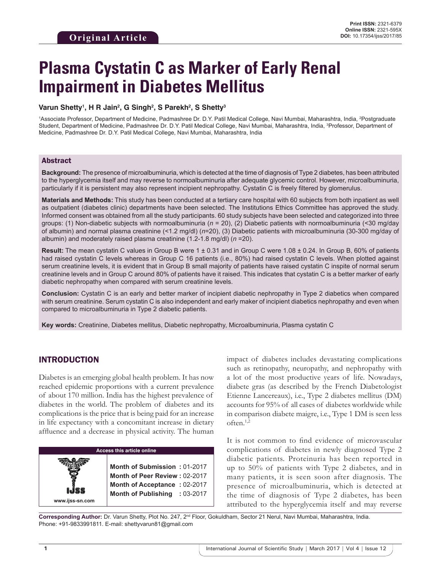# **Plasma Cystatin C as Marker of Early Renal Impairment in Diabetes Mellitus**

#### **Varun Shetty1 , H R Jain2 , G Singh2 , S Parekh2 , S Shetty3**

1Associate Professor, Department of Medicine, Padmashree Dr. D.Y. Patil Medical College, Navi Mumbai, Maharashtra, India, <sup>2</sup>Postgraduate Student, Department of Medicine, Padmashree Dr. D.Y. Patil Medical College, Navi Mumbai, Maharashtra, India, <sup>3</sup>Professor, Department of Medicine, Padmashree Dr. D.Y. Patil Medical College, Navi Mumbai, Maharashtra, India

#### Abstract

**Background:** The presence of microalbuminuria, which is detected at the time of diagnosis of Type 2 diabetes, has been attributed to the hyperglycemia itself and may reverse to normoalbuminuria after adequate glycemic control. However, microalbuminuria, particularly if it is persistent may also represent incipient nephropathy. Cystatin C is freely filtered by glomerulus.

**Materials and Methods:** This study has been conducted at a tertiary care hospital with 60 subjects from both inpatient as well as outpatient (diabetes clinic) departments have been selected. The Institutions Ethics Committee has approved the study. Informed consent was obtained from all the study participants. 60 study subjects have been selected and categorized into three groups: (1) Non-diabetic subjects with normoalbuminuria (*n* = 20), (2) Diabetic patients with normoalbuminuria (<30 mg/day of albumin) and normal plasma creatinine (<1.2 mg/dl) (*n*=20), (3) Diabetic patients with microalbuminuria (30-300 mg/day of albumin) and moderately raised plasma creatinine (1.2-1.8 mg/dl) (*n* =20).

**Result:** The mean cystatin C values in Group B were 1 ± 0.31 and in Group C were 1.08 ± 0.24. In Group B, 60% of patients had raised cystatin C levels whereas in Group C 16 patients (i.e., 80%) had raised cystatin C levels. When plotted against serum creatinine levels, it is evident that in Group B small majority of patients have raised cystatin C inspite of normal serum creatinine levels and in Group C around 80% of patients have it raised. This indicates that cystatin C is a better marker of early diabetic nephropathy when compared with serum creatinine levels.

**Conclusion:** Cystatin C is an early and better marker of incipient diabetic nephropathy in Type 2 diabetics when compared with serum creatinine. Serum cystatin C is also independent and early maker of incipient diabetics nephropathy and even when compared to microalbuminuria in Type 2 diabetic patients.

**Key words:** Creatinine, Diabetes mellitus, Diabetic nephropathy, Microalbuminuria, Plasma cystatin C

# INTRODUCTION

Diabetes is an emerging global health problem. It has now reached epidemic proportions with a current prevalence of about 170 million. India has the highest prevalence of diabetes in the world. The problem of diabetes and its complications is the price that is being paid for an increase in life expectancy with a concomitant increase in dietary affluence and a decrease in physical activity. The human

|                 | <b>Access this article online</b>                             |  |  |
|-----------------|---------------------------------------------------------------|--|--|
|                 | Month of Submission: 01-2017<br>Month of Peer Review: 02-2017 |  |  |
|                 | Month of Acceptance: 02-2017<br>Month of Publishing : 03-2017 |  |  |
| www.ijss-sn.com |                                                               |  |  |

impact of diabetes includes devastating complications such as retinopathy, neuropathy, and nephropathy with a lot of the most productive years of life. Nowadays, diabete gras (as described by the French Diabetologist Etienne Lancereaux), i.e., Type 2 diabetes mellitus (DM) accounts for 95% of all cases of diabetes worldwide while in comparison diabete maigre, i.e., Type 1 DM is seen less often.1,2

It is not common to find evidence of microvascular complications of diabetes in newly diagnosed Type 2 diabetic patients. Proteinuria has been reported in up to 50% of patients with Type 2 diabetes, and in many patients, it is seen soon after diagnosis. The presence of microalbuminuria, which is detected at the time of diagnosis of Type 2 diabetes, has been attributed to the hyperglycemia itself and may reverse

**Corresponding Author:** Dr. Varun Shetty, Plot No. 247, 2nd Floor, Gokuldham, Sector 21 Nerul, Navi Mumbai, Maharashtra, India. Phone: +91-9833991811. E-mail: shettyvarun81@gmail.com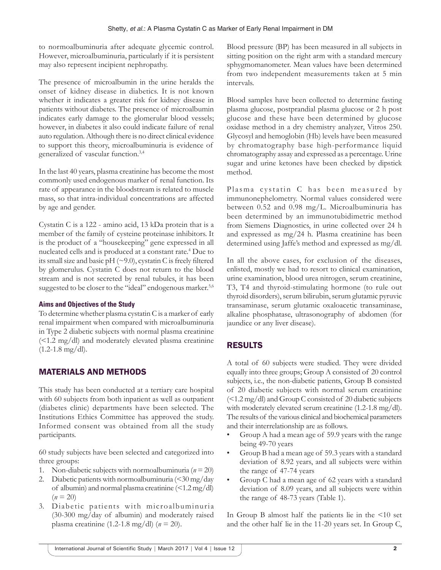to normoalbuminuria after adequate glycemic control. However, microalbuminuria, particularly if it is persistent may also represent incipient nephropathy.

The presence of microalbumin in the urine heralds the onset of kidney disease in diabetics. It is not known whether it indicates a greater risk for kidney disease in patients without diabetes. The presence of microalbumin indicates early damage to the glomerular blood vessels; however, in diabetes it also could indicate failure of renal auto regulation. Although there is no direct clinical evidence to support this theory, microalbuminuria is evidence of generalized of vascular function.3,4

In the last 40 years, plasma creatinine has become the most commonly used endogenous marker of renal function. Its rate of appearance in the bloodstream is related to muscle mass, so that intra-individual concentrations are affected by age and gender.

Cystatin C is a 122 - amino acid, 13 kDa protein that is a member of the family of cysteine proteinase inhibitors. It is the product of a "housekeeping" gene expressed in all nucleated cells and is produced at a constant rate.4 Due to its small size and basic pH (~9.0), cystatin C is freely filtered by glomerulus. Cystatin C does not return to the blood stream and is not secreted by renal tubules, it has been suggested to be closer to the "ideal" endogenous marker.<sup>5,6</sup>

## **Aims and Objectives of the Study**

To determine whether plasma cystatin C is a marker of early renal impairment when compared with microalbuminuria in Type 2 diabetic subjects with normal plasma creatinine (<1.2 mg/dl) and moderately elevated plasma creatinine  $(1.2-1.8 \text{ mg/dl}).$ 

# MATERIALS AND METHODS

This study has been conducted at a tertiary care hospital with 60 subjects from both inpatient as well as outpatient (diabetes clinic) departments have been selected. The Institutions Ethics Committee has approved the study. Informed consent was obtained from all the study participants.

60 study subjects have been selected and categorized into three groups:

- 1. Non-diabetic subjects with normoalbuminuria ( $n = 20$ )
- 2. Diabetic patients with normoalbuminuria (<30 mg/day of albumin) and normal plasma creatinine  $\leq 1.2 \text{ mg/dl}$  $(n = 20)$
- 3. Diabetic patients with microalbuminuria (30-300 mg/day of albumin) and moderately raised plasma creatinine (1.2-1.8 mg/dl) (*n* = 20).

Blood pressure (BP) has been measured in all subjects in sitting position on the right arm with a standard mercury sphygmomanometer. Mean values have been determined from two independent measurements taken at 5 min intervals.

Blood samples have been collected to determine fasting plasma glucose, postprandial plasma glucose or 2 h post glucose and these have been determined by glucose oxidase method in a dry chemistry analyzer, Vitros 250. Glycosyl and hemoglobin (Hb) levels have been measured by chromatography base high-performance liquid chromatography assay and expressed as a percentage. Urine sugar and urine ketones have been checked by dipstick method.

Plasma cystatin C has been measured by immunonephelometry. Normal values considered were between 0.52 and 0.98 mg/L. Microalbuminuria has been determined by an immunotubidimetric method from Siemens Diagnostics, in urine collected over 24 h and expressed as mg/24 h. Plasma creatinine has been determined using Jaffe's method and expressed as mg/dl.

In all the above cases, for exclusion of the diseases, enlisted, mostly we had to resort to clinical examination, urine examination, blood urea nitrogen, serum creatinine, T3, T4 and thyroid-stimulating hormone (to rule out thyroid disorders), serum bilirubin, serum glutamic pyruvic transaminase, serum glutamic oxaloacetic transaminase, alkaline phosphatase, ultrasonography of abdomen (for jaundice or any liver disease).

# RESULTS

A total of 60 subjects were studied. They were divided equally into three groups; Group A consisted of 20 control subjects, i.e., the non-diabetic patients, Group B consisted of 20 diabetic subjects with normal serum creatinine (<1.2 mg/dl) and Group C consisted of 20 diabetic subjects with moderately elevated serum creatinine (1.2-1.8 mg/dl). The results of the various clinical and biochemical parameters and their interrelationship are as follows.

- Group A had a mean age of 59.9 years with the range being 49-70 years
- Group B had a mean age of 59.3 years with a standard deviation of 8.92 years, and all subjects were within the range of 47-74 years
- Group C had a mean age of 62 years with a standard deviation of 8.09 years, and all subjects were within the range of 48-73 years (Table 1).

In Group B almost half the patients lie in the <10 set and the other half lie in the 11-20 years set. In Group C,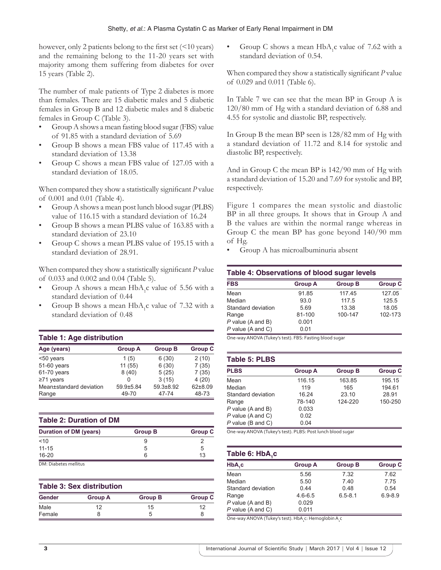however, only 2 patients belong to the first set (<10 years) and the remaining belong to the 11-20 years set with majority among them suffering from diabetes for over 15 years (Table 2).

The number of male patients of Type 2 diabetes is more than females. There are 15 diabetic males and 5 diabetic females in Group B and 12 diabetic males and 8 diabetic females in Group C (Table 3).

- Group A shows a mean fasting blood sugar (FBS) value of 91.85 with a standard deviation of 5.69
- Group B shows a mean FBS value of 117.45 with a standard deviation of 13.38
- Group C shows a mean FBS value of 127.05 with a standard deviation of 18.05.

When compared they show a statistically significant *P* value of 0.001 and 0.01 (Table 4).

- Group A shows a mean post lunch blood sugar (PLBS) value of 116.15 with a standard deviation of 16.24
- Group B shows a mean PLBS value of 163.85 with a standard deviation of 23.10
- Group C shows a mean PLBS value of 195.15 with a standard deviation of 28.91.

When compared they show a statistically significant *P* value of 0.033 and 0.002 and 0.04 (Table 5).

- Group A shows a mean  $HbA_1c$  value of 5.56 with a standard deviation of 0.44
- Group B shows a mean  $HbA_1c$  value of 7.32 with a standard deviation of 0.48

#### **Table 1: Age distribution**

| Age (years)             | <b>Group A</b> | <b>Group B</b> | <b>Group C</b> |
|-------------------------|----------------|----------------|----------------|
| <50 years               | 1(5)           | 6(30)          | 2(10)          |
| 51-60 years             | 11(55)         | 6(30)          | 7(35)          |
| 61-70 years             | 8(40)          | 5(25)          | 7(35)          |
| $\geq 71$ years         | O              | 3(15)          | 4(20)          |
| Mean±standard deviation | 59.9±5.84      | 59.3±8.92      | 62±8.09        |
| Range                   | 49-70          | 47-74          | 48-73          |

#### **Table 2: Duration of DM**

| b  |
|----|
| 13 |
|    |

DM: Diabetes mellitus

| <b>Table 3: Sex distribution</b> |                |                |                |
|----------------------------------|----------------|----------------|----------------|
| Gender                           | <b>Group A</b> | <b>Group B</b> | <b>Group C</b> |
| Male                             | 12             | 15             | 12             |
| Female                           |                | :5             | 8              |

• Group C shows a mean  $HbA_1c$  value of 7.62 with a standard deviation of 0.54.

When compared they show a statistically significant *P* value of 0.029 and 0.011 (Table 6).

In Table 7 we can see that the mean BP in Group A is 120/80 mm of Hg with a standard deviation of 6.88 and 4.55 for systolic and diastolic BP, respectively.

In Group B the mean BP seen is 128/82 mm of Hg with a standard deviation of 11.72 and 8.14 for systolic and diastolic BP, respectively.

And in Group C the mean BP is 142/90 mm of Hg with a standard deviation of 15.20 and 7.69 for systolic and BP, respectively.

Figure 1 compares the mean systolic and diastolic BP in all three groups. It shows that in Group A and B the values are within the normal range whereas in Group C the mean BP has gone beyond 140/90 mm of Hg.

• Group A has microalbuminuria absent

#### **Table 4: Observations of blood sugar levels**

| <b>FBS</b>          | <b>Group A</b> | <b>Group B</b> | <b>Group C</b> |
|---------------------|----------------|----------------|----------------|
| Mean                | 91.85          | 117.45         | 127.05         |
| Median              | 93.0           | 117.5          | 125.5          |
| Standard deviation  | 5.69           | 13.38          | 18.05          |
| Range               | 81-100         | 100-147        | 102-173        |
| $P$ value (A and B) | 0.001          |                |                |
| $P$ value (A and C) | 0.01           |                |                |

One‑way ANOVA (Tukey's test). FBS: Fasting blood sugar

| Table 5: PLBS       |                |                |                |  |
|---------------------|----------------|----------------|----------------|--|
| <b>PLBS</b>         | <b>Group A</b> | <b>Group B</b> | <b>Group C</b> |  |
| Mean                | 116.15         | 163.85         | 195.15         |  |
| Median              | 119            | 165            | 194.61         |  |
| Standard deviation  | 16.24          | 23.10          | 28.91          |  |
| Range               | 78-140         | 124-220        | 150-250        |  |
| $P$ value (A and B) | 0.033          |                |                |  |
| $P$ value (A and C) | 0.02           |                |                |  |
| $P$ value (B and C) | 0.04           |                |                |  |

One‑way ANOVA (Tukey's test). PLBS: Post lunch blood sugar

| Table 6: HbA,c      |                |                |                |  |
|---------------------|----------------|----------------|----------------|--|
| $HbA_{1}c$          | <b>Group A</b> | <b>Group B</b> | <b>Group C</b> |  |
| Mean                | 5.56           | 7.32           | 7.62           |  |
| Median              | 5.50           | 7.40           | 7.75           |  |
| Standard deviation  | 0.44           | 0.48           | 0.54           |  |
| Range               | $4.6 - 6.5$    | $6.5 - 8.1$    | $6.9 - 8.9$    |  |
| $P$ value (A and B) | 0.029          |                |                |  |
| $P$ value (A and C) | 0.011          |                |                |  |

One-way ANOVA (Tukey's test). HbA<sub>1</sub>c: Hemoglobin A<sub>1</sub>c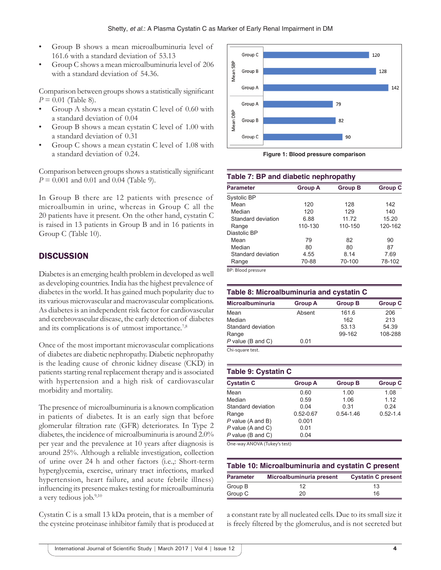- Group B shows a mean microalbuminuria level of 161.6 with a standard deviation of 53.13
- Group C shows a mean microalbuminuria level of 206 with a standard deviation of 54.36.

Comparison between groups shows a statistically significant *P* = 0.01 (Table 8).

- Group A shows a mean cystatin C level of 0.60 with a standard deviation of 0.04
- Group B shows a mean cystatin C level of 1.00 with a standard deviation of 0.31
- Group C shows a mean cystatin C level of 1.08 with a standard deviation of 0.24.

Comparison between groups shows a statistically significant *P* = 0.001 and 0.01 and 0.04 (Table 9).

In Group B there are 12 patients with presence of microalbumin in urine, whereas in Group C all the 20 patients have it present. On the other hand, cystatin C is raised in 13 patients in Group B and in 16 patients in Group C (Table 10).

## **DISCUSSION**

Diabetes is an emerging health problem in developed as well as developing countries. India has the highest prevalence of diabetes in the world. It has gained much popularity due to its various microvascular and macrovascular complications. As diabetes is an independent risk factor for cardiovascular and cerebrovascular disease, the early detection of diabetes and its complications is of utmost importance.<sup>7,8</sup>

Once of the most important microvascular complications of diabetes are diabetic nephropathy. Diabetic nephropathy is the leading cause of chronic kidney disease (CKD) in patients starting renal replacement therapy and is associated with hypertension and a high risk of cardiovascular morbidity and mortality.

The presence of microalbuminuria is a known complication in patients of diabetes. It is an early sign that before glomerular filtration rate (GFR) deteriorates. In Type 2 diabetes, the incidence of microalbuminuria is around 2.0% per year and the prevalence at 10 years after diagnosis is around 25%. Although a reliable investigation, collection of urine over 24 h and other factors (i.e.,: Short-term hyperglycemia, exercise, urinary tract infections, marked hypertension, heart failure, and acute febrile illness) influencing its presence makes testing for microalbuminuria a very tedious job.<sup>9,10</sup>

Cystatin C is a small 13 kDa protein, that is a member of the cysteine proteinase inhibitor family that is produced at



**Figure 1: Blood pressure comparison**

| Table 7: BP and diabetic nephropathy |                |                |                |
|--------------------------------------|----------------|----------------|----------------|
| <b>Parameter</b>                     | <b>Group A</b> | <b>Group B</b> | <b>Group C</b> |
| Systolic BP                          |                |                |                |
| Mean                                 | 120            | 128            | 142            |
| Median                               | 120            | 129            | 140            |
| Standard deviation                   | 6.88           | 11.72          | 15.20          |
| Range                                | 110-130        | 110-150        | 120-162        |
| Diastolic BP                         |                |                |                |
| Mean                                 | 79             | 82             | 90             |
| Median                               | 80             | 80             | 87             |
| Standard deviation                   | 4.55           | 8.14           | 7.69           |
| Range                                | 70-88          | 70-100         | 78-102         |

BP: Blood pressure

| Table 8: Microalbuminuria and cystatin C |                |                |                |
|------------------------------------------|----------------|----------------|----------------|
| <b>Microalbuminuria</b>                  | <b>Group A</b> | <b>Group B</b> | <b>Group C</b> |
| Mean                                     | Absent         | 161.6          | 206            |
| Median                                   |                | 162            | 213            |
| Standard deviation                       |                | 53.13          | 54.39          |
| Range                                    |                | 99-162         | 108-288        |
| $P$ value (B and C)                      | 0.01           |                |                |

Chi‑square test.

#### **Table 9: Cystatin C**

| <b>Cystatin C</b>   | <b>Group A</b> | <b>Group B</b> | <b>Group C</b> |
|---------------------|----------------|----------------|----------------|
| Mean                | 0.60           | 1.00           | 1.08           |
| Median              | 0.59           | 1.06           | 1.12           |
| Standard deviation  | 0.04           | 0.31           | 0.24           |
| Range               | $0.52 - 0.67$  | $0.54 - 1.46$  | $0.52 - 1.4$   |
| $P$ value (A and B) | 0.001          |                |                |
| P value (A and C)   | 0.01           |                |                |
| $P$ value (B and C) | 0.04           |                |                |

One‑way ANOVA (Tukey's test)

| Table 10: Microalbuminuria and cystatin C present |                          |                           |  |
|---------------------------------------------------|--------------------------|---------------------------|--|
| <b>Parameter</b>                                  | Microalbuminuria present | <b>Cystatin C present</b> |  |
| Group B                                           | 12                       | 13                        |  |
| Group C                                           | 20                       | 16                        |  |

a constant rate by all nucleated cells. Due to its small size it is freely filtered by the glomerulus, and is not secreted but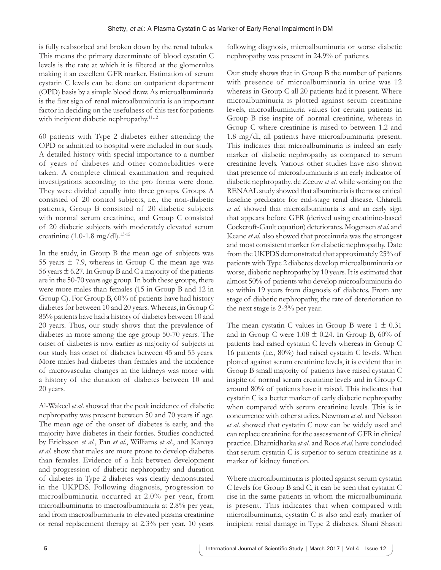is fully reabsorbed and broken down by the renal tubules. This means the primary determinate of blood cystatin C levels is the rate at which it is filtered at the glomerulus making it an excellent GFR marker. Estimation of serum cystatin C levels can be done on outpatient department (OPD) basis by a simple blood draw. As microalbuminuria is the first sign of renal microalbuminuria is an important factor in deciding on the usefulness of this test for patients with incipient diabetic nephropathy.<sup>11,12</sup>

60 patients with Type 2 diabetes either attending the OPD or admitted to hospital were included in our study. A detailed history with special importance to a number of years of diabetes and other comorbidities were taken. A complete clinical examination and required investigations according to the pro forma were done. They were divided equally into three groups. Groups A consisted of 20 control subjects, i.e., the non-diabetic patients, Group B consisted of 20 diabetic subjects with normal serum creatinine, and Group C consisted of 20 diabetic subjects with moderately elevated serum creatinine  $(1.0-1.8 \text{ mg/dl}).^{13-15}$ 

In the study, in Group B the mean age of subjects was 55 years  $\pm$  7.9, whereas in Group C the mean age was 56 years  $\pm$  6.27. In Group B and C a majority of the patients are in the 50-70 years age group. In both these groups, there were more males than females (15 in Group B and 12 in Group C). For Group B, 60% of patients have had history diabetes for between 10 and 20 years. Whereas, in Group C 85% patients have had a history of diabetes between 10 and 20 years. Thus, our study shows that the prevalence of diabetes in more among the age group 50-70 years. The onset of diabetes is now earlier as majority of subjects in our study has onset of diabetes between 45 and 55 years. More males had diabetes than females and the incidence of microvascular changes in the kidneys was more with a history of the duration of diabetes between 10 and 20 years.

Al-Wakeel *et al*. showed that the peak incidence of diabetic nephropathy was present between 50 and 70 years if age. The mean age of the onset of diabetes is early, and the majority have diabetes in their forties. Studies conducted by Ericksson *et al*., Pan *et al*., Williams *et al*., and Kanaya *et al*. show that males are more prone to develop diabetes than females. Evidence of a link between development and progression of diabetic nephropathy and duration of diabetes in Type 2 diabetes was clearly demonstrated in the UKPDS. Following diagnosis, progression to microalbuminuria occurred at 2.0% per year, from microalbuminuria to macroalbuminuria at 2.8% per year, and from macroalbuminuria to elevated plasma creatinine or renal replacement therapy at 2.3% per year. 10 years

following diagnosis, microalbuminuria or worse diabetic nephropathy was present in 24.9% of patients.

Our study shows that in Group B the number of patients with presence of microalbuminuria in urine was 12 whereas in Group C all 20 patients had it present. Where microalbuminuria is plotted against serum creatinine levels, microalbuminuria values for certain patients in Group B rise inspite of normal creatinine, whereas in Group C where creatinine is raised to between 1.2 and 1.8 mg/dl, all patients have microalbuminuria present. This indicates that microalbuminuria is indeed an early marker of diabetic nephropathy as compared to serum creatinine levels. Various other studies have also shown that presence of microalbuminuria is an early indicator of diabetic nephropathy. de Zeeuw *et al*. while working on the RENAAL study showed that albuminuria is the most critical baseline predicator for end-stage renal disease. Chiarelli *et al*. showed that microalbuminuria is and an early sign that appears before GFR (derived using creatinine-based Cockcroft-Gault equation) deteriorates. Mogensen *et al*. and Keane *et al.* also showed that proteinuria was the strongest and most consistent marker for diabetic nephropathy. Date from the UKPDS demonstrated that approximately 25% of patients with Type 2 diabetes develop microalbuminuria or worse, diabetic nephropathy by 10 years. It is estimated that almost 50% of patients who develop microalbuminuria do so within 19 years from diagnosis of diabetes. From any stage of diabetic nephropathy, the rate of deterioration to the next stage is 2-3% per year.

The mean cystatin C values in Group B were  $1 \pm 0.31$ and in Group C were  $1.08 \pm 0.24$ . In Group B, 60% of patients had raised cystatin C levels whereas in Group C 16 patients (i.e., 80%) had raised cystatin C levels. When plotted against serum creatinine levels, it is evident that in Group B small majority of patients have raised cystatin C inspite of normal serum creatinine levels and in Group C around 80% of patients have it raised. This indicates that cystatin C is a better marker of early diabetic nephropathy when compared with serum creatinine levels. This is in concurrence with other studies. Newman *et al*. and Nelsson *et al*. showed that cystatin C now can be widely used and can replace creatinine for the assessment of GFR in clinical practice. Dharnidharka *et al*. and Roos *et al*. have concluded that serum cystatin C is superior to serum creatinine as a marker of kidney function.

Where microalbuminuria is plotted against serum cystatin C levels for Group B and C, it can be seen that cystatin C rise in the same patients in whom the microalbuminuria is present. This indicates that when compared with microalbuminuria, cystatin C is also and early marker of incipient renal damage in Type 2 diabetes. Shani Shastri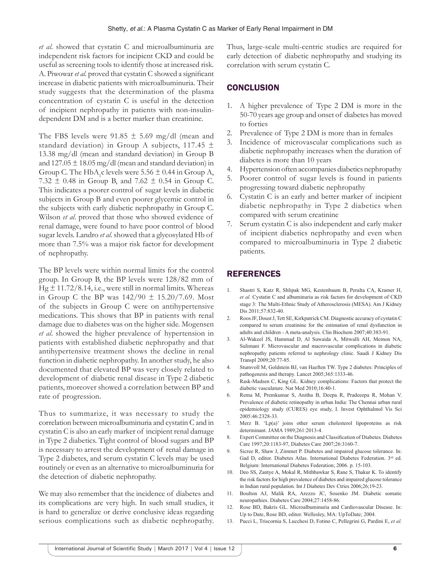*et al*. showed that cystatin C and microalbuminuria are independent risk factors for incipient CKD and could be useful as screening tools to identify those at increased risk. A. Piwowar *et al*. proved that cystatin C showed a significant increase in diabetic patients with microalbuminuria. Their study suggests that the determination of the plasma concentration of cystatin C is useful in the detection of incipient nephropathy in patients with non-insulindependent DM and is a better marker than creatinine.

The FBS levels were  $91.85 \pm 5.69$  mg/dl (mean and standard deviation) in Group A subjects,  $117.45 \pm$ 13.38 mg/dl (mean and standard deviation) in Group B and  $127.05 \pm 18.05$  mg/dl (mean and standard deviation) in Group C. The  $HbA_1c$  levels were 5.56  $\pm$  0.44 in Group A, 7.32  $\pm$  0.48 in Group B, and 7.62  $\pm$  0.54 in Group C. This indicates a poorer control of sugar levels in diabetic subjects in Group B and even poorer glycemic control in the subjects with early diabetic nephropathy in Group C. Wilson *et al*. proved that those who showed evidence of renal damage, were found to have poor control of blood sugar levels. Landro *et al*. showed that a glycosylated Hb of more than 7.5% was a major risk factor for development of nephropathy.

The BP levels were within normal limits for the control group. In Group B, the BP levels were 128/82 mm of Hg  $\pm$  11.72/8.14, i.e., were still in normal limits. Whereas in Group C the BP was  $142/90 \pm 15.20/7.69$ . Most of the subjects in Group C were on antihypertensive medications. This shows that BP in patients with renal damage due to diabetes was on the higher side. Mogensen *et al*. showed the higher prevalence of hypertension in patients with established diabetic nephropathy and that antihypertensive treatment shows the decline in renal function in diabetic nephropathy. In another study, he also documented that elevated BP was very closely related to development of diabetic renal disease in Type 2 diabetic patients, moreover showed a correlation between BP and rate of progression.

Thus to summarize, it was necessary to study the correlation between microalbuminuria and cystatin C and in cystatin C is also an early marker of incipient renal damage in Type 2 diabetics. Tight control of blood sugars and BP is necessary to arrest the development of renal damage in Type 2 diabetes, and serum cystatin C levels may be used routinely or even as an alternative to microalbuminuria for the detection of diabetic nephropathy.

We may also remember that the incidence of diabetes and its complications are very high. In such small studies, it is hard to generalize or derive conclusive ideas regarding serious complications such as diabetic nephropathy.

Thus, large-scale multi-centric studies are required for early detection of diabetic nephropathy and studying its correlation with serum cystatin C.

# **CONCLUSION**

- 1. A higher prevalence of Type 2 DM is more in the 50-70 years age group and onset of diabetes has moved to forties
- 2. Prevalence of Type 2 DM is more than in females
- 3. Incidence of microvascular complications such as diabetic nephropathy increases when the duration of diabetes is more than 10 years
- 4. Hypertension often accompanies diabetics nephropathy
- 5. Poorer control of sugar levels is found in patients progressing toward diabetic nephropathy
- 6. Cystatin C is an early and better marker of incipient diabetic nephropathy in Type 2 diabetics when compared with serum creatinine
- 7. Serum cystatin C is also independent and early maker of incipient diabetics nephropathy and even when compared to microalbuminuria in Type 2 diabetic patients.

# REFERENCES

- 1. Shastri S, Katz R, Shlipak MG, Kestenbaum B, Peralta CA, Kramer H, *et al.* Cystatin C and albuminuria as risk factors for development of CKD stage 3: The Multi-Ethnic Study of Atherosclerosis (MESA). Am J Kidney Dis 2011;57:832-40.
- 2. Roos JF, Doust J, Tett SE, Kirkpatrick CM. Diagnostic accuracy of cystatinC compared to serum creatinine for the estimation of renal dysfunction in adults and children - A meta-analysis. Clin Biochem 2007;40:383-91.
- 3. Al-Wakeel JS, Hammad D, Al Suwaida A, Mitwalli AH, Memon NA, Sulimani F. Microvascular and macrovascular complications in diabetic nephropathy patients referred to nephrology clinic. Saudi J Kidney Dis Transpl 2009;20:77-85.
- 4. Stumvoll M, Goldstein BJ, van Haeften TW. Type 2 diabetes: Principles of pathogenesis and therapy. Lancet 2005;365:1333-46.
- 5. Rask-Madsen C, King GL. Kidney complications: Factors that protect the diabetic vasculature. Nat Med 2010;16:40-1.
- 6. Rema M, Premkumar S, Anitha B, Deepa R, Pradeeepa R, Mohan V. Prevalence of diabetic retinopathy in urban India: The Chennai urban rural epidemiology study (CURES) eye study, I. Invest Ophthalmol Vis Sci 2005:46:2328-33.
- 7. Merz B. 'Lp(a)' joins other serum cholesterol lipoproteins as risk determinant. JAMA 1989;261:2013-4.
- 8. Expert Committee on the Diagnosis and Classification of Diabetes. Diabetes Care 1997;20:1183-97, Diabetes Care 2007;26:3160-7.
- 9. Sicree R, Shaw J, Zimmet P. Diabetes and impaired glucose tolerance. In: Gad D, editor. Diabetes Atlas. International Diabetes Federation. 3rd ed. Belgium: International Diabetes Federation; 2006. p. 15-103.
- 10. Deo SS, Zantye A, Mokal R, Mithbawkar S, Rane S, Thakur K. To identify the risk factors for high prevalence of diabetes and impaired glucose tolerance in Indian rural population. Int J Diabetes Dev Ctries 2006;26;19-23.
- 11. Boulton AJ, Malik RA, Arezzo JC, Sosenko JM. Diabetic somatic neuropathies. Diabetes Care 2004;27:1458-86.
- 12. Rose BD, Bakris GL. Microalbuminuria and Cardiovascular Disease. In: Up to Date, Rose BD, editor. Wellesley, MA: UpToDate; 2004.
- 13. Pucci L, Triscornia S, Lucchesi D, Fotino C, Pellegrini G, Pardini E, *et al.*